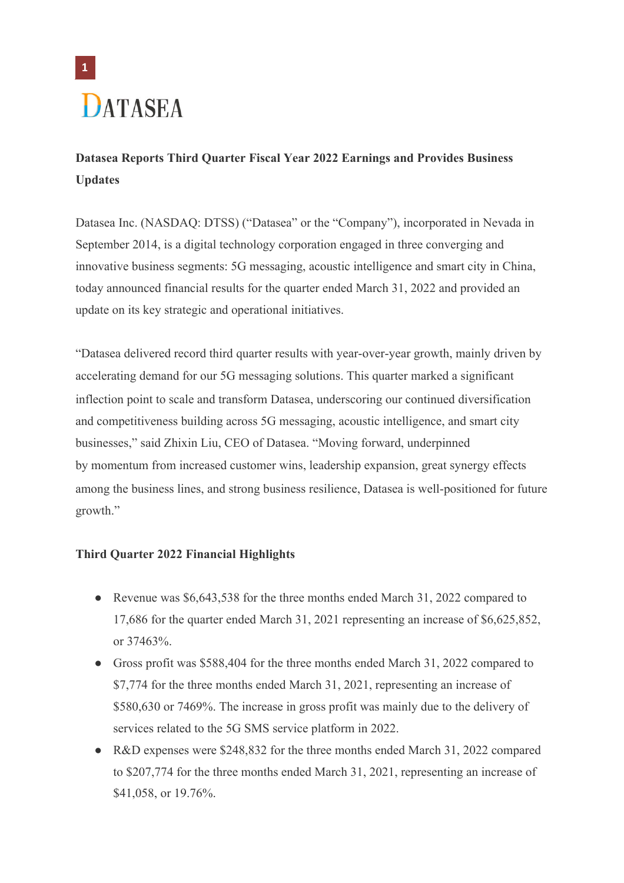

## **Datasea Reports Third Quarter Fiscal Year 2022 Earnings and Provides Business Updates**

Datasea Inc. (NASDAQ: DTSS) ("Datasea" or the "Company"), incorporated in Nevada in September 2014, is a digital technology corporation engaged in three converging and innovative business segments: 5G messaging, acoustic intelligence and smart city in China, today announced financial results for the quarter ended March 31, 2022 and provided an update on its key strategic and operational initiatives.

"Datasea delivered record third quarter results with year-over-year growth, mainly driven by accelerating demand for our 5G messaging solutions. This quarter marked a significant inflection point to scale and transform Datasea, underscoring our continued diversification and competitiveness building across 5G messaging, acoustic intelligence, and smart city businesses," said Zhixin Liu, CEO of Datasea. "Moving forward, underpinned by momentum from increased customer wins, leadership expansion, great synergy effects among the business lines, and strong business resilience, Datasea is well-positioned for future growth."

## **Third Quarter 2022 Financial Highlights**

- Revenue was \$6,643,538 for the three months ended March 31, 2022 compared to 17,686 for the quarter ended March 31, 2021 representing an increase of \$6,625,852, or 37463%.
- Gross profit was \$588,404 for the three months ended March 31, 2022 compared to \$7,774 for the three months ended March 31, 2021, representing an increase of \$580,630 or 7469%. The increase in gross profit was mainly due to the delivery of services related to the 5G SMS service platform in 2022.
- R&D expenses were \$248,832 for the three months ended March 31, 2022 compared to \$207,774 for the three months ended March 31, 2021, representing an increase of \$41,058, or 19.76%.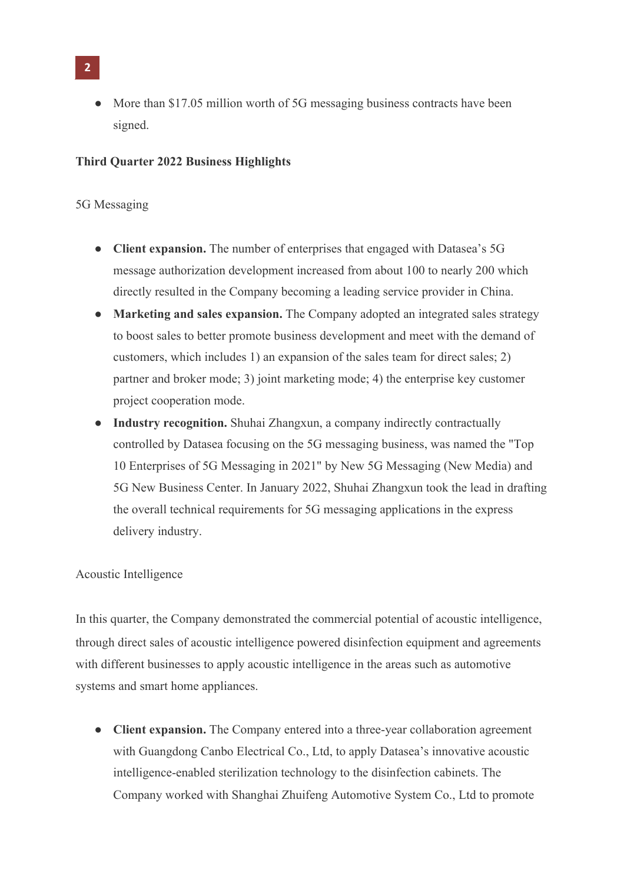- **2**
	- More than \$17.05 million worth of 5G messaging business contracts have been signed.

### **Third Quarter 2022 Business Highlights**

## 5G Messaging

- **Client expansion.** The number of enterprises that engaged with Datasea's 5G message authorization development increased from about 100 to nearly 200 which directly resulted in the Company becoming a leading service provider in China.
- **Marketing and sales expansion.** The Company adopted an integrated sales strategy to boost sales to better promote business development and meet with the demand of customers, which includes 1) an expansion of the sales team for direct sales; 2) partner and broker mode; 3) joint marketing mode; 4) the enterprise key customer project cooperation mode.
- **Industry recognition.** Shuhai Zhangxun, a company indirectly contractually controlled by Datasea focusing on the 5G messaging business, was named the "Top 10 Enterprises of 5G Messaging in 2021" by New 5G Messaging (New Media) and 5G New Business Center. In January 2022, Shuhai Zhangxun took the lead in drafting the overall technical requirements for 5G messaging applications in the express delivery industry.

#### Acoustic Intelligence

In this quarter, the Company demonstrated the commercial potential of acoustic intelligence, through direct sales of acoustic intelligence powered disinfection equipment and agreements with different businesses to apply acoustic intelligence in the areas such as automotive systems and smart home appliances.

● **Client expansion.** The Company entered into a three-year collaboration agreement with Guangdong Canbo Electrical Co., Ltd, to apply Datasea's innovative acoustic intelligence-enabled sterilization technology to the disinfection cabinets. The Company worked with Shanghai Zhuifeng Automotive System Co., Ltd to promote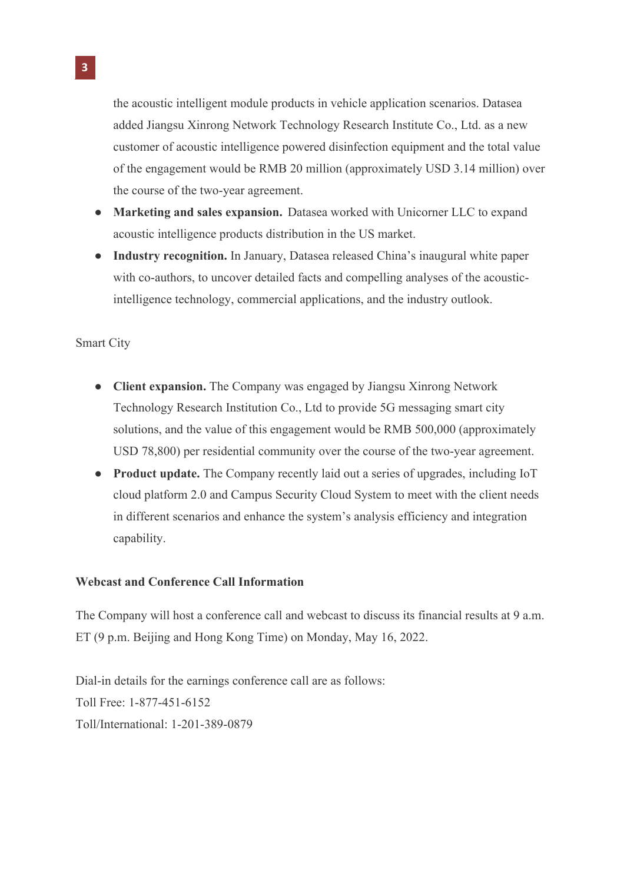the acoustic intelligent module products in vehicle application scenarios. Datasea added Jiangsu Xinrong Network Technology Research Institute Co., Ltd. as a new customer of acoustic intelligence powered disinfection equipment and the total value of the engagement would be RMB 20 million (approximately USD 3.14 million) over the course of the two-year agreement.

- **Marketing and sales expansion.** Datasea worked with Unicorner LLC to expand acoustic intelligence products distribution in the US market.
- **Industry recognition.** In January, Datasea released China's inaugural white paper with co-authors, to uncover detailed facts and compelling analyses of the acousticintelligence technology, commercial applications, and the industry outlook.

## Smart City

- **Client expansion.** The Company was engaged by Jiangsu Xinrong Network Technology Research Institution Co., Ltd to provide 5G messaging smart city solutions, and the value of this engagement would be RMB 500,000 (approximately USD 78,800) per residential community over the course of the two-year agreement.
- **Product update.** The Company recently laid out a series of upgrades, including IoT cloud platform 2.0 and Campus Security Cloud System to meet with the client needs in different scenarios and enhance the system's analysis efficiency and integration capability.

### **Webcast and Conference Call Information**

The Company will host a conference call and webcast to discuss its financial results at 9 a.m. ET (9 p.m. Beijing and Hong Kong Time) on Monday, May 16, 2022.

Dial-in details for the earnings conference call are as follows: Toll Free: 1-877-451-6152 Toll/International: 1-201-389-0879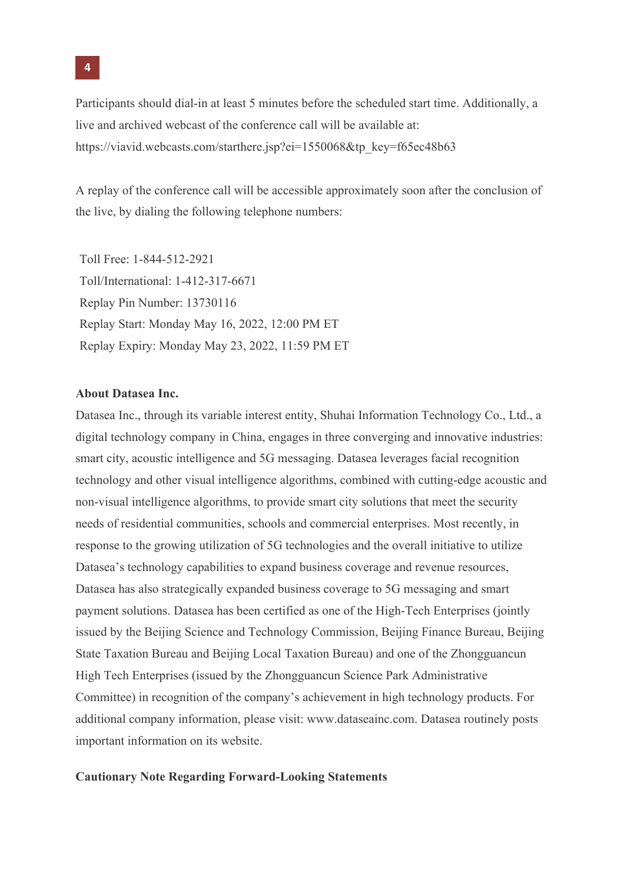Participants should dial-in at least 5 minutes before the scheduled start time. Additionally, a live and archived webcast of the conference call will be available at: https://viavid.webcasts.com/starthere.jsp?ei=1550068&tp\_key=f65ec48b63

A replay of the conference call will be accessible approximately soon after the conclusion of the live, by dialing the following telephone numbers:

Toll Free: 1-844-512-2921 Toll/International: 1-412-317-6671 Replay Pin Number: 13730116 Replay Start: Monday May 16, 2022, 12:00 PM ET Replay Expiry: Monday May 23, 2022, 11:59 PM ET

#### **About Datasea Inc.**

Datasea Inc., through its variable interest entity, Shuhai Information Technology Co., Ltd., a digital technology company in China, engages in three converging and innovative industries: smart city, acoustic intelligence and 5G messaging. Datasea leverages facial recognition technology and other visual intelligence algorithms, combined with cutting-edge acoustic and non-visual intelligence algorithms, to provide smart city solutions that meet the security needs of residential communities, schools and commercial enterprises. Most recently, in response to the growing utilization of 5G technologies and the overall initiative to utilize Datasea's technology capabilities to expand business coverage and revenue resources, Datasea has also strategically expanded business coverage to 5G messaging and smart payment solutions. Datasea has been certified as one of the High-Tech Enterprises (jointly issued by the Beijing Science and Technology Commission, Beijing Finance Bureau, Beijing State Taxation Bureau and Beijing Local Taxation Bureau) and one of the Zhongguancun High Tech Enterprises (issued by the Zhongguancun Science Park Administrative Committee) in recognition of the company's achievement in high technology products. For additional company information, please visit: www.dataseainc.com. Datasea routinely posts important information on its website.

#### **Cautionary Note Regarding Forward-Looking Statements**

**4**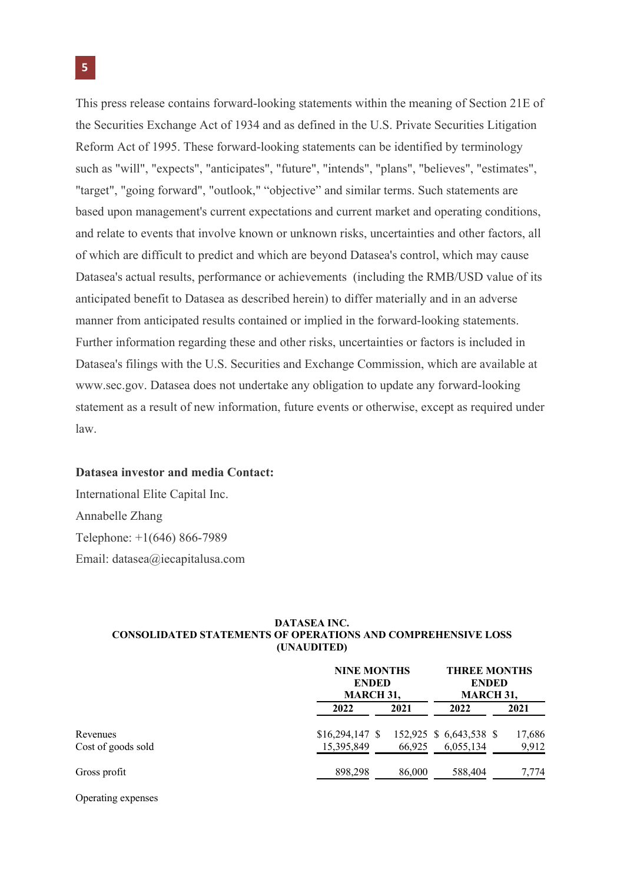This press release contains forward-looking statements within the meaning of Section 21E of the Securities Exchange Act of 1934 and as defined in the U.S. Private Securities Litigation Reform Act of 1995. These forward-looking statements can be identified by terminology such as "will", "expects", "anticipates", "future", "intends", "plans", "believes", "estimates", "target", "going forward", "outlook," "objective" and similar terms. Such statements are based upon management's current expectations and current market and operating conditions, and relate to events that involve known or unknown risks, uncertainties and other factors, all of which are difficult to predict and which are beyond Datasea's control, which may cause Datasea's actual results, performance or achievements (including the RMB/USD value of its anticipated benefit to Datasea as described herein) to differ materially and in an adverse manner from anticipated results contained or implied in the forward-looking statements. Further information regarding these and other risks, uncertainties or factors is included in Datasea's filings with the U.S. Securities and Exchange Commission, which are available at www.sec.gov. Datasea does not undertake any obligation to update any forward-looking statement as a result of new information, future events or otherwise, except as required under law.

#### **Datasea investor and media Contact:**

International Elite Capital Inc. Annabelle Zhang Telephone: +1(646) 866-7989 Email: datasea@iecapitalusa.com

#### **DATASEA INC. CONSOLIDATED STATEMENTS OF OPERATIONS AND COMPREHENSIVE LOSS (UNAUDITED)**

|                                |                                 | <b>NINE MONTHS</b><br><b>ENDED</b><br>MARCH 31, |                                      | <b>THREE MONTHS</b><br><b>ENDED</b><br><b>MARCH 31,</b> |  |
|--------------------------------|---------------------------------|-------------------------------------------------|--------------------------------------|---------------------------------------------------------|--|
|                                | 2022                            | 2021                                            | 2022                                 | 2021                                                    |  |
| Revenues<br>Cost of goods sold | $$16,294,147$ \\$<br>15,395,849 | 66,925                                          | 152,925 \$ 6,643,538 \$<br>6,055,134 | 17,686<br>9,912                                         |  |
| Gross profit                   | 898,298                         | 86,000                                          | 588,404                              | 7,774                                                   |  |

Operating expenses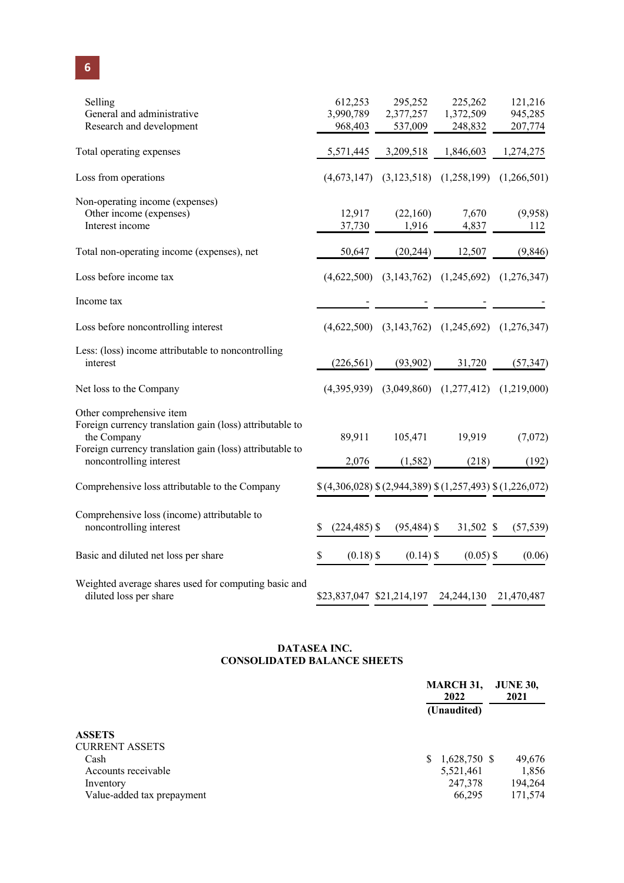| Selling<br>General and administrative<br>Research and development                                                                                                                          | 612,253<br>3,990,789<br>968,403 | 295,252<br>2,377,257<br>537,009 | 225,262<br>1,372,509<br>248,832                         | 121,216<br>945,285<br>207,774 |
|--------------------------------------------------------------------------------------------------------------------------------------------------------------------------------------------|---------------------------------|---------------------------------|---------------------------------------------------------|-------------------------------|
| Total operating expenses                                                                                                                                                                   | 5,571,445                       | 3,209,518                       | 1,846,603                                               | 1,274,275                     |
| Loss from operations                                                                                                                                                                       |                                 |                                 | $(4,673,147)$ $(3,123,518)$ $(1,258,199)$               | (1,266,501)                   |
| Non-operating income (expenses)<br>Other income (expenses)<br>Interest income                                                                                                              | 12,917<br>37,730                | (22,160)<br>1,916               | 7,670<br>4,837                                          | (9,958)<br>112                |
| Total non-operating income (expenses), net                                                                                                                                                 | 50,647                          | (20, 244)                       | 12,507                                                  | (9,846)                       |
| Loss before income tax                                                                                                                                                                     |                                 |                                 | $(4,622,500)$ $(3,143,762)$ $(1,245,692)$ $(1,276,347)$ |                               |
| Income tax                                                                                                                                                                                 |                                 |                                 |                                                         |                               |
| Loss before noncontrolling interest                                                                                                                                                        |                                 |                                 | $(4,622,500)$ $(3,143,762)$ $(1,245,692)$ $(1,276,347)$ |                               |
| Less: (loss) income attributable to noncontrolling<br>interest                                                                                                                             | (226, 561)                      | (93,902)                        | 31,720                                                  | (57, 347)                     |
| Net loss to the Company                                                                                                                                                                    |                                 |                                 | $(4,395,939)$ $(3,049,860)$ $(1,277,412)$ $(1,219,000)$ |                               |
| Other comprehensive item<br>Foreign currency translation gain (loss) attributable to<br>the Company<br>Foreign currency translation gain (loss) attributable to<br>noncontrolling interest | 89,911<br>2,076                 | 105,471<br>(1,582)              | 19,919<br>(218)                                         | (7,072)<br>(192)              |
| Comprehensive loss attributable to the Company                                                                                                                                             |                                 |                                 | \$(4,306,028) \$(2,944,389) \$(1,257,493) \$(1,226,072) |                               |
| Comprehensive loss (income) attributable to<br>noncontrolling interest                                                                                                                     | $(224, 485)$ \$<br>S            | $(95, 484)$ \$                  | 31,502 \$                                               | (57, 539)                     |
| Basic and diluted net loss per share                                                                                                                                                       | $(0.18)$ \$<br>\$               | $(0.14)$ \$                     | $(0.05)$ \$                                             | (0.06)                        |
| Weighted average shares used for computing basic and<br>diluted loss per share                                                                                                             | \$23,837,047 \$21,214,197       |                                 | 24, 244, 130 21, 470, 487                               |                               |

#### **DATASEA INC. CONSOLIDATED BALANCE SHEETS**

| <b>MARCH 31,</b><br>2022<br>(Unaudited) |           | <b>JUNE 30,</b><br>2021 |                |
|-----------------------------------------|-----------|-------------------------|----------------|
|                                         |           |                         |                |
|                                         |           |                         |                |
|                                         |           |                         |                |
| S.                                      |           |                         | 49,676         |
|                                         | 5,521,461 |                         | 1,856          |
|                                         | 247,378   |                         | 194,264        |
|                                         | 66,295    |                         | 171,574        |
|                                         |           |                         | $1,628,750$ \$ |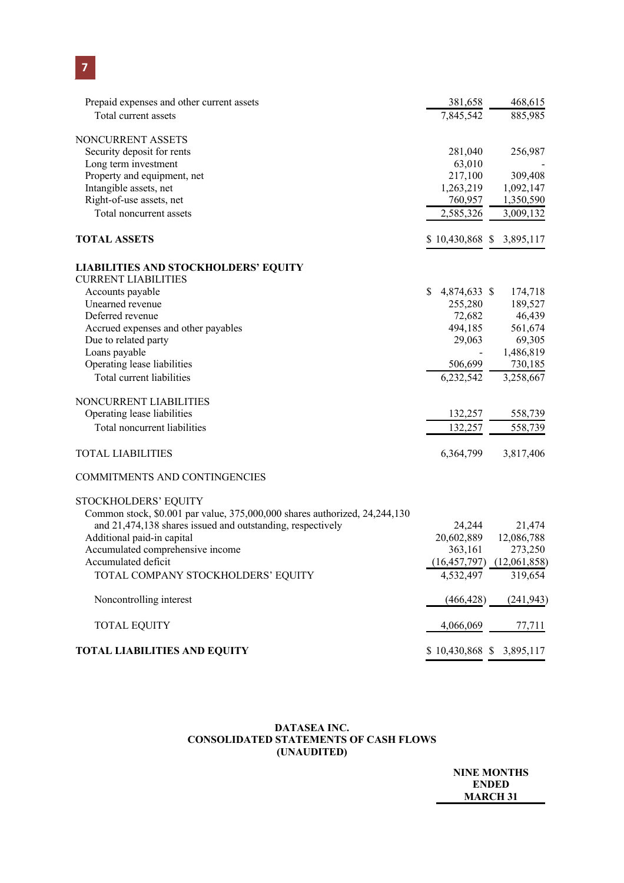| Prepaid expenses and other current assets                                  | 381,658                  | 468,615                       |
|----------------------------------------------------------------------------|--------------------------|-------------------------------|
| Total current assets                                                       | 7,845,542                | 885,985                       |
| NONCURRENT ASSETS                                                          |                          |                               |
| Security deposit for rents                                                 | 281,040                  | 256,987                       |
| Long term investment                                                       | 63,010                   |                               |
| Property and equipment, net                                                | 217,100                  | 309,408                       |
| Intangible assets, net                                                     | 1,263,219                | 1,092,147                     |
| Right-of-use assets, net                                                   | 760,957                  | 1,350,590                     |
| Total noncurrent assets                                                    | 2,585,326                | 3,009,132                     |
| <b>TOTAL ASSETS</b>                                                        | \$10,430,868 \$3,895,117 |                               |
| <b>LIABILITIES AND STOCKHOLDERS' EQUITY</b>                                |                          |                               |
| <b>CURRENT LIABILITIES</b>                                                 |                          |                               |
| Accounts payable                                                           | 4,874,633 \$<br>\$       | 174,718                       |
| Unearned revenue                                                           | 255,280                  | 189,527                       |
| Deferred revenue                                                           | 72,682                   | 46,439                        |
| Accrued expenses and other payables                                        | 494,185                  | 561,674                       |
| Due to related party                                                       | 29,063                   | 69,305                        |
| Loans payable                                                              |                          | 1,486,819                     |
| Operating lease liabilities                                                | 506,699                  | 730,185                       |
| Total current liabilities                                                  | 6,232,542                | 3,258,667                     |
| NONCURRENT LIABILITIES                                                     |                          |                               |
| Operating lease liabilities                                                | 132,257                  | 558,739                       |
| Total noncurrent liabilities                                               | 132,257                  | 558,739                       |
| <b>TOTAL LIABILITIES</b>                                                   | 6,364,799                | 3,817,406                     |
| COMMITMENTS AND CONTINGENCIES                                              |                          |                               |
| STOCKHOLDERS' EQUITY                                                       |                          |                               |
| Common stock, \$0.001 par value, 375,000,000 shares authorized, 24,244,130 |                          |                               |
| and 21,474,138 shares issued and outstanding, respectively                 | 24,244                   | 21,474                        |
| Additional paid-in capital                                                 | 20,602,889               | 12,086,788                    |
| Accumulated comprehensive income                                           | 363,161                  | 273,250                       |
| Accumulated deficit                                                        |                          | $(16,457,797)$ $(12,061,858)$ |
| TOTAL COMPANY STOCKHOLDERS' EQUITY                                         | 4,532,497                | 319,654                       |
| Noncontrolling interest                                                    | (466, 428)               | (241, 943)                    |
| <b>TOTAL EQUITY</b>                                                        | 4,066,069                | 77,711                        |
| <b>TOTAL LIABILITIES AND EQUITY</b>                                        | \$10,430,868 \$3,895,117 |                               |

#### **DATASEA INC. CONSOLIDATED STATEMENTS OF CASH FLOWS (UNAUDITED)**

**NINE MONTHS ENDED MARCH 31**

## **7**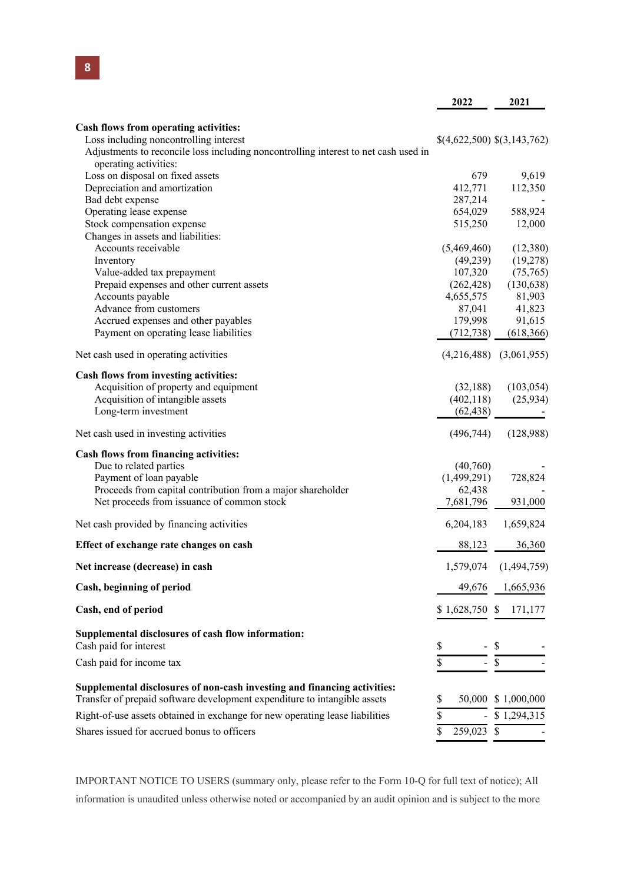|                                                                                     | 2022                        | 2021                        |
|-------------------------------------------------------------------------------------|-----------------------------|-----------------------------|
|                                                                                     |                             |                             |
| Cash flows from operating activities:<br>Loss including noncontrolling interest     |                             |                             |
| Adjustments to reconcile loss including noncontrolling interest to net cash used in | \$(4,622,500) \$(3,143,762) |                             |
| operating activities:                                                               |                             |                             |
| Loss on disposal on fixed assets                                                    | 679                         | 9,619                       |
| Depreciation and amortization                                                       | 412,771                     | 112,350                     |
| Bad debt expense                                                                    | 287,214                     |                             |
| Operating lease expense                                                             | 654,029                     | 588,924                     |
| Stock compensation expense                                                          | 515,250                     | 12,000                      |
| Changes in assets and liabilities:                                                  |                             |                             |
| Accounts receivable                                                                 | (5,469,460)                 | (12,380)                    |
| Inventory                                                                           | (49, 239)                   | (19,278)                    |
| Value-added tax prepayment                                                          | 107,320                     | (75,765)                    |
| Prepaid expenses and other current assets                                           | (262, 428)                  | (130, 638)                  |
| Accounts payable                                                                    | 4,655,575                   | 81,903                      |
| Advance from customers                                                              | 87,041                      | 41,823                      |
| Accrued expenses and other payables                                                 | 179,998                     | 91,615                      |
| Payment on operating lease liabilities                                              | (712, 738)                  | (618, 366)                  |
| Net cash used in operating activities                                               |                             | $(4,216,488)$ $(3,061,955)$ |
| Cash flows from investing activities:                                               |                             |                             |
| Acquisition of property and equipment                                               | (32, 188)                   | (103, 054)                  |
| Acquisition of intangible assets                                                    | (402, 118)                  | (25, 934)                   |
| Long-term investment                                                                | (62, 438)                   |                             |
| Net cash used in investing activities                                               | (496, 744)                  | (128,988)                   |
| <b>Cash flows from financing activities:</b>                                        |                             |                             |
| Due to related parties                                                              | (40,760)                    |                             |
| Payment of loan payable                                                             | (1,499,291)                 | 728,824                     |
| Proceeds from capital contribution from a major shareholder                         | 62,438                      |                             |
| Net proceeds from issuance of common stock                                          | 7,681,796                   | 931,000                     |
| Net cash provided by financing activities                                           | 6,204,183                   | 1,659,824                   |
| Effect of exchange rate changes on cash                                             | 88,123                      | 36,360                      |
| Net increase (decrease) in cash                                                     |                             | 1,579,074 (1,494,759)       |
| Cash, beginning of period                                                           | 49,676                      | 1,665,936                   |
| Cash, end of period                                                                 | $$1,628,750$ \$             | 171,177                     |
| Supplemental disclosures of cash flow information:                                  |                             |                             |
| Cash paid for interest                                                              | \$                          | \$                          |
| Cash paid for income tax                                                            |                             | $\$$                        |
| Supplemental disclosures of non-cash investing and financing activities:            |                             |                             |
| Transfer of prepaid software development expenditure to intangible assets           | \$                          | 50,000 \$ 1,000,000         |
| Right-of-use assets obtained in exchange for new operating lease liabilities        | \$                          | \$1,294,315                 |
| Shares issued for accrued bonus to officers                                         | 259,023 \$<br>\$            |                             |

IMPORTANT NOTICE TO USERS (summary only, please refer to the Form 10-Q for full text of notice); All information is unaudited unless otherwise noted or accompanied by an audit opinion and is subject to the more